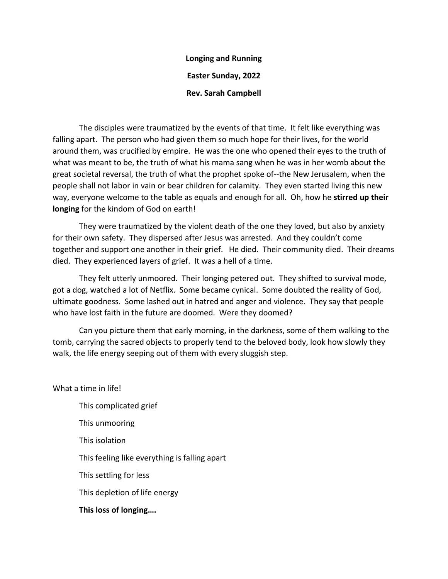## **Longing and Running Easter Sunday, 2022 Rev. Sarah Campbell**

The disciples were traumatized by the events of that time. It felt like everything was falling apart. The person who had given them so much hope for their lives, for the world around them, was crucified by empire. He was the one who opened their eyes to the truth of what was meant to be, the truth of what his mama sang when he was in her womb about the great societal reversal, the truth of what the prophet spoke of--the New Jerusalem, when the people shall not labor in vain or bear children for calamity. They even started living this new way, everyone welcome to the table as equals and enough for all. Oh, how he **stirred up their longing** for the kindom of God on earth!

They were traumatized by the violent death of the one they loved, but also by anxiety for their own safety. They dispersed after Jesus was arrested. And they couldn't come together and support one another in their grief. He died. Their community died. Their dreams died. They experienced layers of grief. It was a hell of a time.

They felt utterly unmoored. Their longing petered out. They shifted to survival mode, got a dog, watched a lot of Netflix. Some became cynical. Some doubted the reality of God, ultimate goodness. Some lashed out in hatred and anger and violence. They say that people who have lost faith in the future are doomed. Were they doomed?

Can you picture them that early morning, in the darkness, some of them walking to the tomb, carrying the sacred objects to properly tend to the beloved body, look how slowly they walk, the life energy seeping out of them with every sluggish step.

What a time in life!

This complicated grief This unmooring This isolation This feeling like everything is falling apart This settling for less This depletion of life energy **This loss of longing….**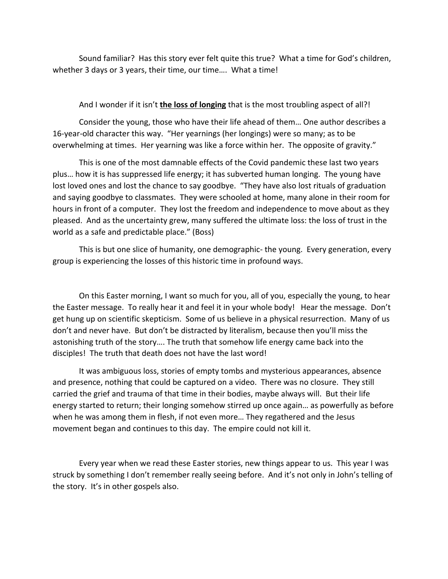Sound familiar? Has this story ever felt quite this true? What a time for God's children, whether 3 days or 3 years, their time, our time…. What a time!

## And I wonder if it isn't **the loss of longing** that is the most troubling aspect of all?!

Consider the young, those who have their life ahead of them… One author describes a 16-year-old character this way. "Her yearnings (her longings) were so many; as to be overwhelming at times. Her yearning was like a force within her. The opposite of gravity."

This is one of the most damnable effects of the Covid pandemic these last two years plus… how it is has suppressed life energy; it has subverted human longing. The young have lost loved ones and lost the chance to say goodbye. "They have also lost rituals of graduation and saying goodbye to classmates. They were schooled at home, many alone in their room for hours in front of a computer. They lost the freedom and independence to move about as they pleased. And as the uncertainty grew, many suffered the ultimate loss: the loss of trust in the world as a safe and predictable place." (Boss)

This is but one slice of humanity, one demographic- the young. Every generation, every group is experiencing the losses of this historic time in profound ways.

On this Easter morning, I want so much for you, all of you, especially the young, to hear the Easter message. To really hear it and feel it in your whole body! Hear the message. Don't get hung up on scientific skepticism. Some of us believe in a physical resurrection. Many of us don't and never have. But don't be distracted by literalism, because then you'll miss the astonishing truth of the story…. The truth that somehow life energy came back into the disciples! The truth that death does not have the last word!

It was ambiguous loss, stories of empty tombs and mysterious appearances, absence and presence, nothing that could be captured on a video. There was no closure. They still carried the grief and trauma of that time in their bodies, maybe always will. But their life energy started to return; their longing somehow stirred up once again… as powerfully as before when he was among them in flesh, if not even more… They regathered and the Jesus movement began and continues to this day. The empire could not kill it.

Every year when we read these Easter stories, new things appear to us. This year I was struck by something I don't remember really seeing before. And it's not only in John's telling of the story. It's in other gospels also.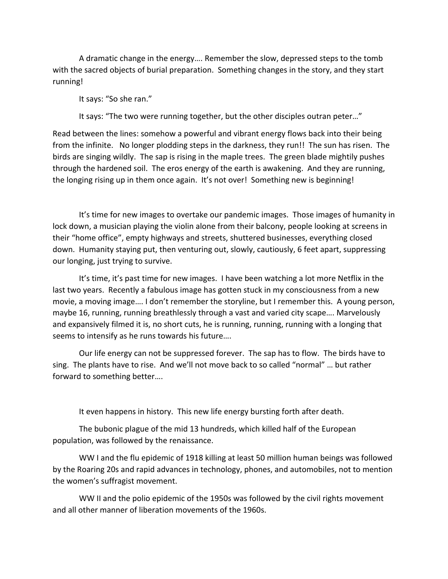A dramatic change in the energy…. Remember the slow, depressed steps to the tomb with the sacred objects of burial preparation. Something changes in the story, and they start running!

It says: "So she ran."

It says: "The two were running together, but the other disciples outran peter…"

Read between the lines: somehow a powerful and vibrant energy flows back into their being from the infinite. No longer plodding steps in the darkness, they run!! The sun has risen. The birds are singing wildly. The sap is rising in the maple trees. The green blade mightily pushes through the hardened soil. The eros energy of the earth is awakening. And they are running, the longing rising up in them once again. It's not over! Something new is beginning!

It's time for new images to overtake our pandemic images. Those images of humanity in lock down, a musician playing the violin alone from their balcony, people looking at screens in their "home office", empty highways and streets, shuttered businesses, everything closed down. Humanity staying put, then venturing out, slowly, cautiously, 6 feet apart, suppressing our longing, just trying to survive.

It's time, it's past time for new images. I have been watching a lot more Netflix in the last two years. Recently a fabulous image has gotten stuck in my consciousness from a new movie, a moving image…. I don't remember the storyline, but I remember this. A young person, maybe 16, running, running breathlessly through a vast and varied city scape…. Marvelously and expansively filmed it is, no short cuts, he is running, running, running with a longing that seems to intensify as he runs towards his future….

Our life energy can not be suppressed forever. The sap has to flow. The birds have to sing. The plants have to rise. And we'll not move back to so called "normal" … but rather forward to something better….

It even happens in history. This new life energy bursting forth after death.

The bubonic plague of the mid 13 hundreds, which killed half of the European population, was followed by the renaissance.

WW I and the flu epidemic of 1918 killing at least 50 million human beings was followed by the Roaring 20s and rapid advances in technology, phones, and automobiles, not to mention the women's suffragist movement.

WW II and the polio epidemic of the 1950s was followed by the civil rights movement and all other manner of liberation movements of the 1960s.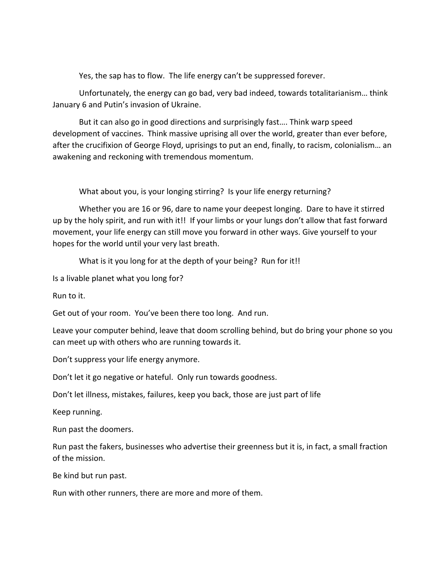Yes, the sap has to flow. The life energy can't be suppressed forever.

Unfortunately, the energy can go bad, very bad indeed, towards totalitarianism… think January 6 and Putin's invasion of Ukraine.

But it can also go in good directions and surprisingly fast…. Think warp speed development of vaccines. Think massive uprising all over the world, greater than ever before, after the crucifixion of George Floyd, uprisings to put an end, finally, to racism, colonialism… an awakening and reckoning with tremendous momentum.

What about you, is your longing stirring? Is your life energy returning?

Whether you are 16 or 96, dare to name your deepest longing. Dare to have it stirred up by the holy spirit, and run with it!! If your limbs or your lungs don't allow that fast forward movement, your life energy can still move you forward in other ways. Give yourself to your hopes for the world until your very last breath.

What is it you long for at the depth of your being? Run for it!!

Is a livable planet what you long for?

Run to it.

Get out of your room. You've been there too long. And run.

Leave your computer behind, leave that doom scrolling behind, but do bring your phone so you can meet up with others who are running towards it.

Don't suppress your life energy anymore.

Don't let it go negative or hateful. Only run towards goodness.

Don't let illness, mistakes, failures, keep you back, those are just part of life

Keep running.

Run past the doomers.

Run past the fakers, businesses who advertise their greenness but it is, in fact, a small fraction of the mission.

Be kind but run past.

Run with other runners, there are more and more of them.